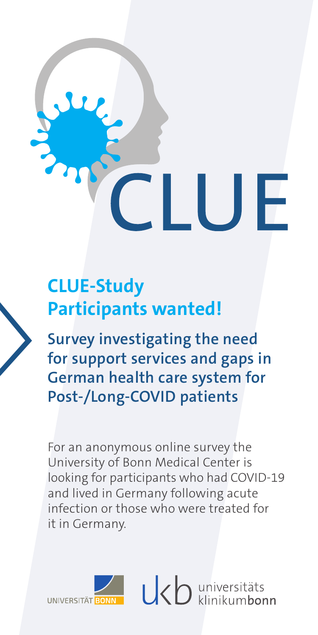# **CLUE-Study Participants wanted!**

**Survey investigating the need for support services and gaps in German health care system for Post-/Long-COVID patients**

For an anonymous online survey the University of Bonn Medical Center is looking for participants who had COVID-19 and lived in Germany following acute infection or those who were treated for it in Germany.